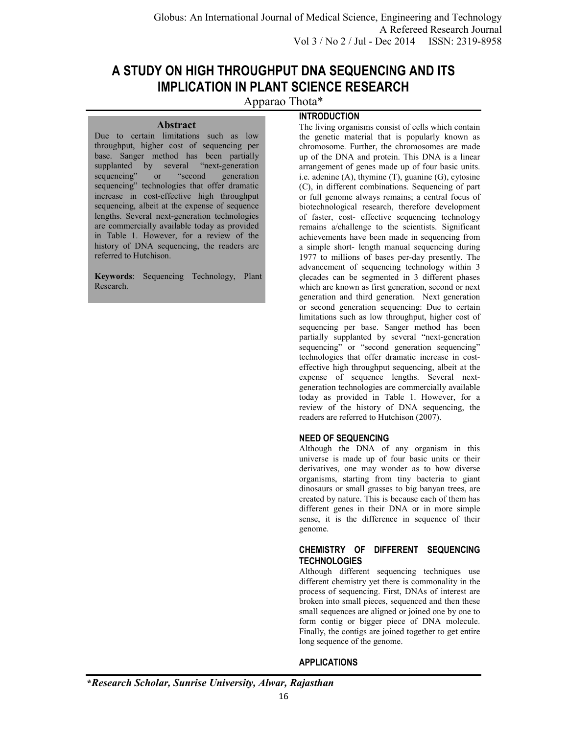# **A STUDY ON HIGH THROUGHPUT DNA SEQUENCING AND ITS IMPLICATION IN PLANT SCIENCE RESEARCH**

Apparao Thota\*

## **INTRODUCTION**

Due to certain limitations such as low throughput, higher cost of sequencing per base. Sanger method has been partially supplanted by several "next-generation sequencing" or "second generation sequencing" technologies that offer dramatic increase in cost-effective high throughput sequencing, albeit at the expense of sequence lengths. Several next-generation technologies are commercially available today as provided in Table 1. However, for a review of the history of DNA sequencing, the readers are referred to Hutchison.

**Abstract** 

**Keywords**: Sequencing Technology, Plant Research.

The living organisms consist of cells which contain the genetic material that is popularly known as chromosome. Further, the chromosomes are made up of the DNA and protein. This DNA is a linear arrangement of genes made up of four basic units. i.e. adenine (A), thymine (T), guanine (G), cytosine (C), in different combinations. Sequencing of part or full genome always remains; a central focus of biotechnological research, therefore development of faster, cost- effective sequencing technology remains a/challenge to the scientists. Significant achievements have been made in sequencing from a simple short- length manual sequencing during 1977 to millions of bases per-day presently. The advancement of sequencing technology within 3 çlecades can be segmented in 3 different phases which are known as first generation, second or next generation and third generation. Next generation or second generation sequencing: Due to certain limitations such as low throughput, higher cost of sequencing per base. Sanger method has been partially supplanted by several "next-generation sequencing" or "second generation sequencing" technologies that offer dramatic increase in costeffective high throughput sequencing, albeit at the expense of sequence lengths. Several nextgeneration technologies are commercially available today as provided in Table 1. However, for a review of the history of DNA sequencing, the readers are referred to Hutchison (2007).

# **NEED OF SEQUENCING**

Although the DNA of any organism in this universe is made up of four basic units or their derivatives, one may wonder as to how diverse organisms, starting from tiny bacteria to giant dinosaurs or small grasses to big banyan trees, are created by nature. This is because each of them has different genes in their DNA or in more simple sense, it is the difference in sequence of their genome.

# **CHEMISTRY OF DIFFERENT SEQUENCING TECHNOLOGIES**

Although different sequencing techniques use different chemistry yet there is commonality in the process of sequencing. First, DNAs of interest are broken into small pieces, sequenced and then these small sequences are aligned or joined one by one to form contig or bigger piece of DNA molecule. Finally, the contigs are joined together to get entire long sequence of the genome.

# **APPLICATIONS**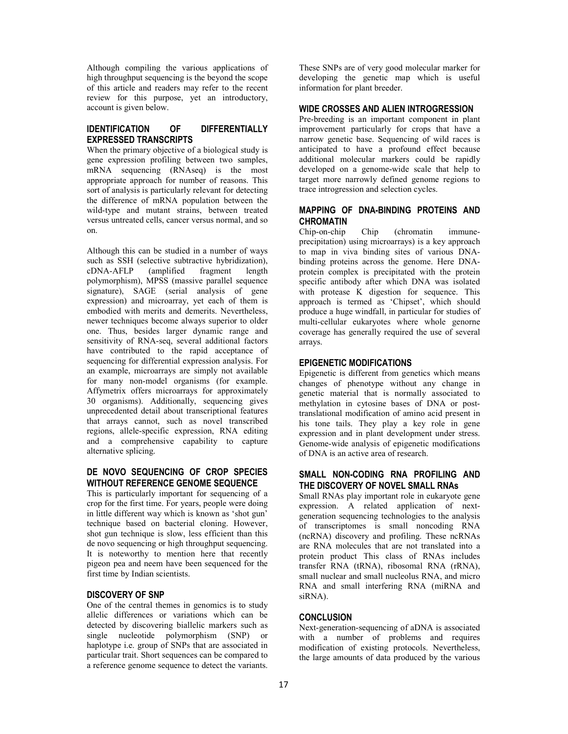Although compiling the various applications of high throughput sequencing is the beyond the scope of this article and readers may refer to the recent review for this purpose, yet an introductory, account is given below.

## **IDENTIFICATION OF DIFFERENTIALLY EXPRESSED TRANSCRIPTS**

When the primary objective of a biological study is gene expression profiling between two samples, mRNA sequencing (RNAseq) is the most appropriate approach for number of reasons. This sort of analysis is particularly relevant for detecting the difference of mRNA population between the wild-type and mutant strains, between treated versus untreated cells, cancer versus normal, and so on.

Although this can be studied in a number of ways such as SSH (selective subtractive hybridization),<br>cDNA-AFLP (amplified fragment length cDNA-AFLP (amplified fragment length polymorphism), MPSS (massive parallel sequence signature), SAGE (serial analysis of gene expression) and microarray, yet each of them is embodied with merits and demerits. Nevertheless, newer techniques become always superior to older one. Thus, besides larger dynamic range and sensitivity of RNA-seq, several additional factors have contributed to the rapid acceptance of sequencing for differential expression analysis. For an example, microarrays are simply not available for many non-model organisms (for example. Affymetrix offers microarrays for approximately 30 organisms). Additionally, sequencing gives unprecedented detail about transcriptional features that arrays cannot, such as novel transcribed regions, allele-specific expression, RNA editing and a comprehensive capability to capture alternative splicing.

#### **DE NOVO SEQUENCING OF CROP SPECIES WITHOUT REFERENCE GENOME SEQUENCE**

This is particularly important for sequencing of a crop for the first time. For years, people were doing in little different way which is known as 'shot gun' technique based on bacterial cloning. However, shot gun technique is slow, less efficient than this de novo sequencing or high throughput sequencing. It is noteworthy to mention here that recently pigeon pea and neem have been sequenced for the first time by Indian scientists.

#### **DISCOVERY OF SNP**

One of the central themes in genomics is to study allelic differences or variations which can be detected by discovering biallelic markers such as single nucleotide polymorphism (SNP) or haplotype i.e. group of SNPs that are associated in particular trait. Short sequences can be compared to a reference genome sequence to detect the variants.

These SNPs are of very good molecular marker for developing the genetic map which is useful information for plant breeder.

## **WIDE CROSSES AND ALIEN INTROGRESSION**

Pre-breeding is an important component in plant improvement particularly for crops that have a narrow genetic base. Sequencing of wild races is anticipated to have a profound effect because additional molecular markers could be rapidly developed on a genome-wide scale that help to target more narrowly defined genome regions to trace introgression and selection cycles.

## **MAPPING OF DNA-BINDING PROTEINS AND CHROMATIN**

Chip-on-chip Chip (chromatin immuneprecipitation) using microarrays) is a key approach to map in viva binding sites of various DNAbinding proteins across the genome. Here DNAprotein complex is precipitated with the protein specific antibody after which DNA was isolated with protease K digestion for sequence. This approach is termed as 'Chipset', which should produce a huge windfall, in particular for studies of multi-cellular eukaryotes where whole genorne coverage has generally required the use of several arrays.

#### **EPIGENETIC MODIFICATIONS**

Epigenetic is different from genetics which means changes of phenotype without any change in genetic material that is normally associated to methylation in cytosine bases of DNA or posttranslational modification of amino acid present in his tone tails. They play a key role in gene expression and in plant development under stress. Genome-wide analysis of epigenetic modifications of DNA is an active area of research.

#### **SMALL NON-CODING RNA PROFILING AND THE DISCOVERY OF NOVEL SMALL RNAs**

Small RNAs play important role in eukaryote gene expression. A related application of nextgeneration sequencing technologies to the analysis of transcriptomes is small noncoding RNA (ncRNA) discovery and profiling. These ncRNAs are RNA molecules that are not translated into a protein product This class of RNAs includes transfer RNA (tRNA), ribosomal RNA (rRNA), small nuclear and small nucleolus RNA, and micro RNA and small interfering RNA (miRNA and siRNA).

#### **CONCLUSION**

Next-generation-sequencing of aDNA is associated with a number of problems and requires modification of existing protocols. Nevertheless, the large amounts of data produced by the various